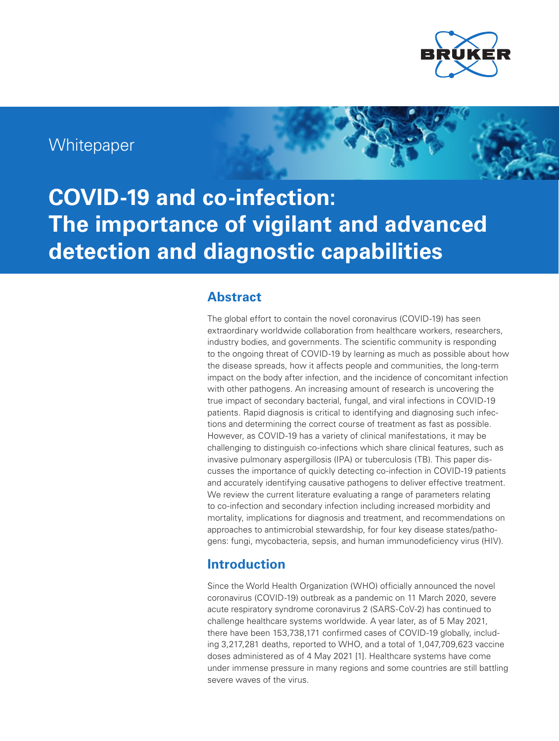

# **Whitepaper**

**COVID-19 and co-infection: The importance of vigilant and advanced detection and diagnostic capabilities**

### **Abstract**

The global effort to contain the novel coronavirus (COVID-19) has seen extraordinary worldwide collaboration from healthcare workers, researchers, industry bodies, and governments. The scientific community is responding to the ongoing threat of COVID-19 by learning as much as possible about how the disease spreads, how it affects people and communities, the long-term impact on the body after infection, and the incidence of concomitant infection with other pathogens. An increasing amount of research is uncovering the true impact of secondary bacterial, fungal, and viral infections in COVID-19 patients. Rapid diagnosis is critical to identifying and diagnosing such infections and determining the correct course of treatment as fast as possible. However, as COVID-19 has a variety of clinical manifestations, it may be challenging to distinguish co-infections which share clinical features, such as invasive pulmonary aspergillosis (IPA) or tuberculosis (TB). This paper discusses the importance of quickly detecting co-infection in COVID-19 patients and accurately identifying causative pathogens to deliver effective treatment. We review the current literature evaluating a range of parameters relating to co-infection and secondary infection including increased morbidity and mortality, implications for diagnosis and treatment, and recommendations on approaches to antimicrobial stewardship, for four key disease states/pathogens: fungi, mycobacteria, sepsis, and human immunodeficiency virus (HIV).

### **Introduction**

Since the World Health Organization (WHO) officially announced the novel coronavirus (COVID-19) outbreak as a pandemic on 11 March 2020, severe acute respiratory syndrome coronavirus 2 (SARS-CoV-2) has continued to challenge healthcare systems worldwide. A year later, as of 5 May 2021, there have been 153,738,171 confirmed cases of COVID-19 globally, including 3,217,281 deaths, reported to WHO, and a total of 1,047,709,623 vaccine doses administered as of 4 May 2021 [1]. Healthcare systems have come under immense pressure in many regions and some countries are still battling severe waves of the virus.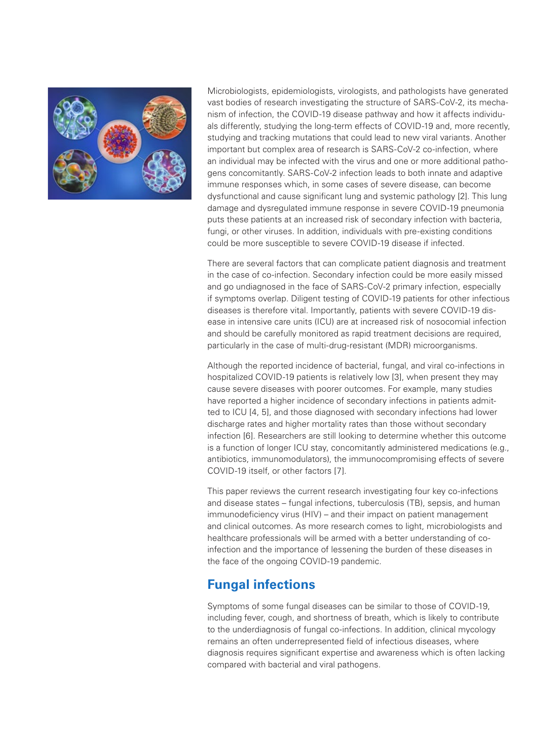

Microbiologists, epidemiologists, virologists, and pathologists have generated vast bodies of research investigating the structure of SARS-CoV-2, its mechanism of infection, the COVID-19 disease pathway and how it affects individuals differently, studying the long-term effects of COVID-19 and, more recently, studying and tracking mutations that could lead to new viral variants. Another important but complex area of research is SARS-CoV-2 co-infection, where an individual may be infected with the virus and one or more additional pathogens concomitantly. SARS-CoV-2 infection leads to both innate and adaptive immune responses which, in some cases of severe disease, can become dysfunctional and cause significant lung and systemic pathology [2]. This lung damage and dysregulated immune response in severe COVID-19 pneumonia puts these patients at an increased risk of secondary infection with bacteria, fungi, or other viruses. In addition, individuals with pre-existing conditions could be more susceptible to severe COVID-19 disease if infected.

There are several factors that can complicate patient diagnosis and treatment in the case of co-infection. Secondary infection could be more easily missed and go undiagnosed in the face of SARS-CoV-2 primary infection, especially if symptoms overlap. Diligent testing of COVID-19 patients for other infectious diseases is therefore vital. Importantly, patients with severe COVID-19 disease in intensive care units (ICU) are at increased risk of nosocomial infection and should be carefully monitored as rapid treatment decisions are required, particularly in the case of multi-drug-resistant (MDR) microorganisms.

Although the reported incidence of bacterial, fungal, and viral co-infections in hospitalized COVID-19 patients is relatively low [3], when present they may cause severe diseases with poorer outcomes. For example, many studies have reported a higher incidence of secondary infections in patients admitted to ICU [4, 5], and those diagnosed with secondary infections had lower discharge rates and higher mortality rates than those without secondary infection [6]. Researchers are still looking to determine whether this outcome is a function of longer ICU stay, concomitantly administered medications (e.g., antibiotics, immunomodulators), the immunocompromising effects of severe COVID-19 itself, or other factors [7].

This paper reviews the current research investigating four key co-infections and disease states – fungal infections, tuberculosis (TB), sepsis, and human immunodeficiency virus (HIV) – and their impact on patient management and clinical outcomes. As more research comes to light, microbiologists and healthcare professionals will be armed with a better understanding of coinfection and the importance of lessening the burden of these diseases in the face of the ongoing COVID-19 pandemic.

## **Fungal infections**

Symptoms of some fungal diseases can be similar to those of COVID-19, including fever, cough, and shortness of breath, which is likely to contribute to the underdiagnosis of fungal co-infections. In addition, clinical mycology remains an often underrepresented field of infectious diseases, where diagnosis requires significant expertise and awareness which is often lacking compared with bacterial and viral pathogens.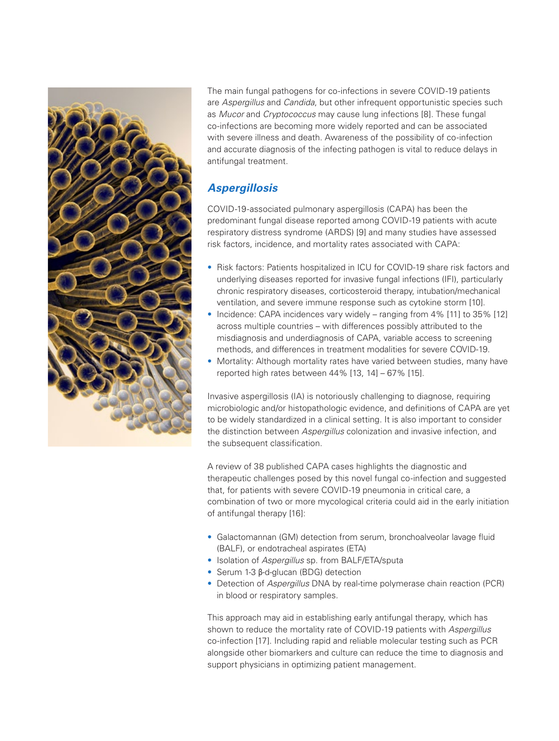

The main fungal pathogens for co-infections in severe COVID-19 patients are *Aspergillus* and *Candida*, but other infrequent opportunistic species such as *Mucor* and *Cryptococcus* may cause lung infections [8]. These fungal co-infections are becoming more widely reported and can be associated with severe illness and death. Awareness of the possibility of co-infection and accurate diagnosis of the infecting pathogen is vital to reduce delays in antifungal treatment.

### *Aspergillosis*

COVID-19-associated pulmonary aspergillosis (CAPA) has been the predominant fungal disease reported among COVID-19 patients with acute respiratory distress syndrome (ARDS) [9] and many studies have assessed risk factors, incidence, and mortality rates associated with CAPA:

- Risk factors: Patients hospitalized in ICU for COVID-19 share risk factors and underlying diseases reported for invasive fungal infections (IFI), particularly chronic respiratory diseases, corticosteroid therapy, intubation/mechanical ventilation, and severe immune response such as cytokine storm [10].
- Incidence: CAPA incidences vary widely ranging from 4% [11] to 35% [12] across multiple countries – with differences possibly attributed to the misdiagnosis and underdiagnosis of CAPA, variable access to screening methods, and differences in treatment modalities for severe COVID-19.
- Mortality: Although mortality rates have varied between studies, many have reported high rates between 44% [13, 14] – 67% [15].

Invasive aspergillosis (IA) is notoriously challenging to diagnose, requiring microbiologic and/or histopathologic evidence, and definitions of CAPA are yet to be widely standardized in a clinical setting. It is also important to consider the distinction between *Aspergillus* colonization and invasive infection, and the subsequent classification.

A review of 38 published CAPA cases highlights the diagnostic and therapeutic challenges posed by this novel fungal co-infection and suggested that, for patients with severe COVID-19 pneumonia in critical care, a combination of two or more mycological criteria could aid in the early initiation of antifungal therapy [16]:

- Galactomannan (GM) detection from serum, bronchoalveolar lavage fluid (BALF), or endotracheal aspirates (ETA)
- Isolation of *Aspergillus* sp. from BALF/ETA/sputa
- Serum 1-3 β-d-glucan (BDG) detection
- Detection of *Aspergillus* DNA by real-time polymerase chain reaction (PCR) in blood or respiratory samples.

This approach may aid in establishing early antifungal therapy, which has shown to reduce the mortality rate of COVID-19 patients with *Aspergillus* co-infection [17]. Including rapid and reliable molecular testing such as PCR alongside other biomarkers and culture can reduce the time to diagnosis and support physicians in optimizing patient management.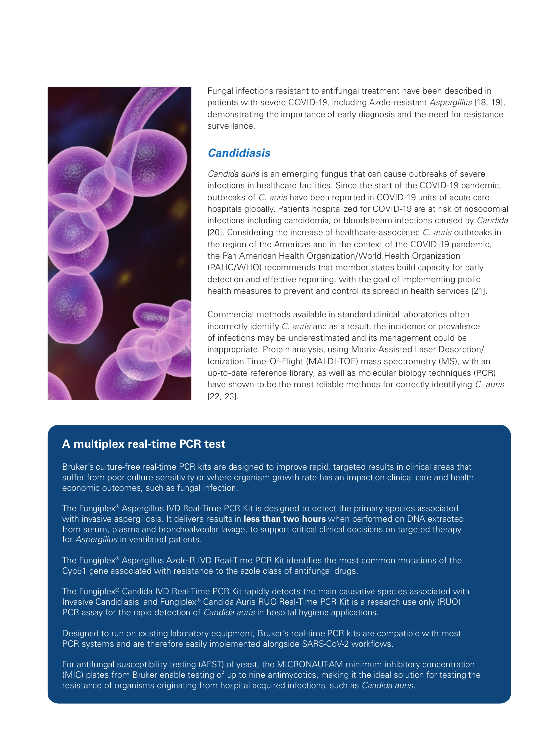

Fungal infections resistant to antifungal treatment have been described in patients with severe COVID-19, including Azole-resistant *Aspergillus* [18, 19], demonstrating the importance of early diagnosis and the need for resistance surveillance.

### *Candidiasis*

*Candida auris* is an emerging fungus that can cause outbreaks of severe infections in healthcare facilities. Since the start of the COVID-19 pandemic, outbreaks of *C. auris* have been reported in COVID-19 units of acute care hospitals globally. Patients hospitalized for COVID-19 are at risk of nosocomial infections including candidemia, or bloodstream infections caused by *Candida* [20]. Considering the increase of healthcare-associated *C. auris* outbreaks in the region of the Americas and in the context of the COVID-19 pandemic, the Pan American Health Organization/World Health Organization (PAHO/WHO) recommends that member states build capacity for early detection and effective reporting, with the goal of implementing public health measures to prevent and control its spread in health services [21].

Commercial methods available in standard clinical laboratories often incorrectly identify *C. auris* and as a result, the incidence or prevalence of infections may be underestimated and its management could be inappropriate. Protein analysis, using Matrix-Assisted Laser Desorption/ Ionization Time-Of-Flight (MALDI-TOF) mass spectrometry (MS), with an up-to-date reference library, as well as molecular biology techniques (PCR) have shown to be the most reliable methods for correctly identifying *C. auris* [22, 23].

### **A multiplex real-time PCR test**

Bruker's culture-free real-time PCR kits are designed to improve rapid, targeted results in clinical areas that suffer from poor culture sensitivity or where organism growth rate has an impact on clinical care and health economic outcomes, such as fungal infection.

The Fungiplex® Aspergillus IVD Real-Time PCR Kit is designed to detect the primary species associated with invasive aspergillosis. It delivers results in **less than two hours** when performed on DNA extracted from serum, plasma and bronchoalveolar lavage, to support critical clinical decisions on targeted therapy for *Aspergillus* in ventilated patients.

The Fungiplex® Aspergillus Azole-R IVD Real-Time PCR Kit identifies the most common mutations of the Cyp51 gene associated with resistance to the azole class of antifungal drugs.

The Fungiplex® Candida IVD Real-Time PCR Kit rapidly detects the main causative species associated with Invasive Candidiasis, and Fungiplex® Candida Auris RUO Real-Time PCR Kit is a research use only (RUO) PCR assay for the rapid detection of *Candida auris* in hospital hygiene applications.

Designed to run on existing laboratory equipment, Bruker's real-time PCR kits are compatible with most PCR systems and are therefore easily implemented alongside SARS-CoV-2 workflows.

For antifungal susceptibility testing (AFST) of yeast, the MICRONAUT-AM minimum inhibitory concentration (MIC) plates from Bruker enable testing of up to nine antimycotics, making it the ideal solution for testing the resistance of organisms originating from hospital acquired infections, such as *Candida auris.*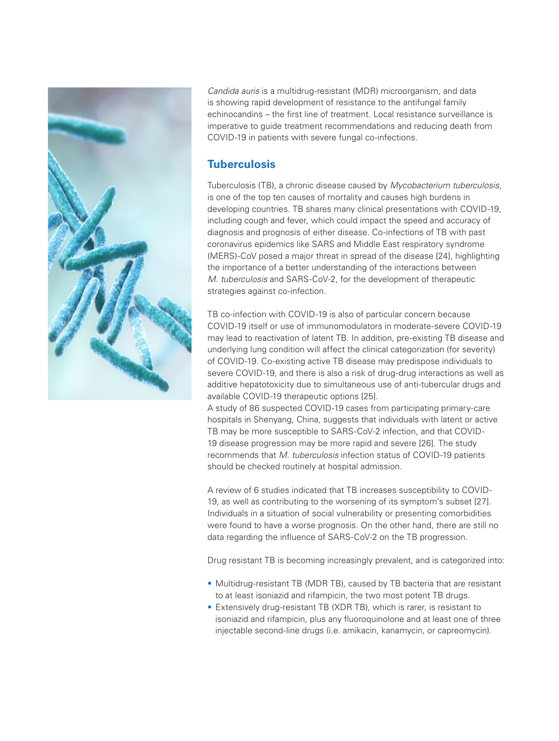

*Candida auris* is a multidrug-resistant (MDR) microorganism, and data is showing rapid development of resistance to the antifungal family echinocandins – the first line of treatment. Local resistance surveillance is imperative to guide treatment recommendations and reducing death from COVID-19 in patients with severe fungal co-infections.

### **Tuberculosis**

Tuberculosis (TB), a chronic disease caused by *Mycobacterium tuberculosis*, is one of the top ten causes of mortality and causes high burdens in developing countries. TB shares many clinical presentations with COVID-19, including cough and fever, which could impact the speed and accuracy of diagnosis and prognosis of either disease. Co-infections of TB with past coronavirus epidemics like SARS and Middle East respiratory syndrome (MERS)-CoV posed a major threat in spread of the disease [24], highlighting the importance of a better understanding of the interactions between *M. tuberculosis* and SARS-CoV-2, for the development of therapeutic strategies against co-infection.

TB co-infection with COVID-19 is also of particular concern because COVID-19 itself or use of immunomodulators in moderate-severe COVID-19 may lead to reactivation of latent TB. In addition, pre-existing TB disease and underlying lung condition will affect the clinical categorization (for severity) of COVID-19. Co-existing active TB disease may predispose individuals to severe COVID-19, and there is also a risk of drug-drug interactions as well as additive hepatotoxicity due to simultaneous use of anti-tubercular drugs and available COVID-19 therapeutic options [25].

A study of 86 suspected COVID-19 cases from participating primary-care hospitals in Shenyang, China, suggests that individuals with latent or active TB may be more susceptible to SARS-CoV-2 infection, and that COVID-19 disease progression may be more rapid and severe [26]. The study recommends that *M. tuberculosis* infection status of COVID-19 patients should be checked routinely at hospital admission.

A review of 6 studies indicated that TB increases susceptibility to COVID-19, as well as contributing to the worsening of its symptom's subset [27]. Individuals in a situation of social vulnerability or presenting comorbidities were found to have a worse prognosis. On the other hand, there are still no data regarding the influence of SARS-CoV-2 on the TB progression.

Drug resistant TB is becoming increasingly prevalent, and is categorized into:

- Multidrug-resistant TB (MDR TB), caused by TB bacteria that are resistant to at least isoniazid and rifampicin, the two most potent TB drugs.
- Extensively drug-resistant TB (XDR TB), which is rarer, is resistant to isoniazid and rifampicin, plus any fluoroquinolone and at least one of three injectable second-line drugs (i.e. amikacin, kanamycin, or capreomycin).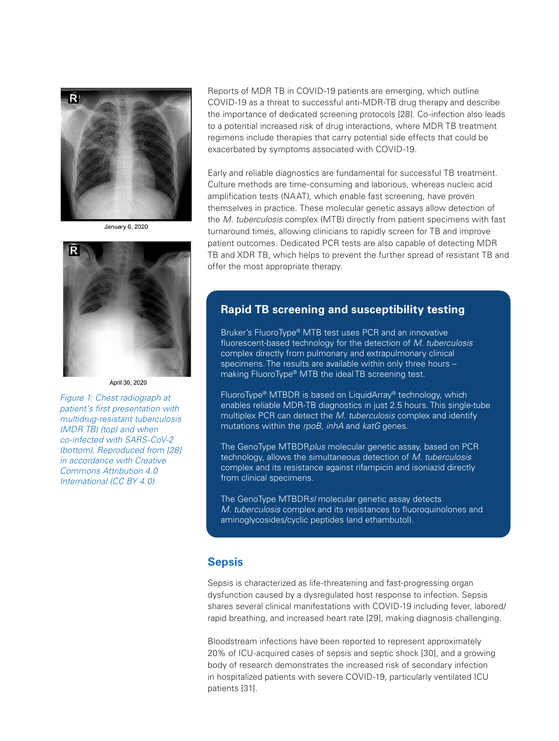

**January 6, 2020** 



#### April 30 2020

*Figure 1: Chest radiograph at patient's first presentation with multidrug-resistant tuberculosis (MDR TB) (top) and when co-infected with SARS-CoV-2 (bottom). Reproduced from [28] in accordance with Creative Commons Attribution 4.0 International (CC BY 4.0).*

Reports of MDR TB in COVID-19 patients are emerging, which outline COVID-19 as a threat to successful anti-MDR-TB drug therapy and describe the importance of dedicated screening protocols [28]. Co-infection also leads to a potential increased risk of drug interactions, where MDR TB treatment regimens include therapies that carry potential side effects that could be exacerbated by symptoms associated with COVID-19.

Early and reliable diagnostics are fundamental for successful TB treatment. Culture methods are time-consuming and laborious, whereas nucleic acid amplification tests (NAAT), which enable fast screening, have proven themselves in practice. These molecular genetic assays allow detection of the *M. tuberculosis* complex (MTB) directly from patient specimens with fast turnaround times, allowing clinicians to rapidly screen for TB and improve patient outcomes. Dedicated PCR tests are also capable of detecting MDR TB and XDR TB, which helps to prevent the further spread of resistant TB and offer the most appropriate therapy.

#### **Rapid TB screening and susceptibility testing**

Bruker's FluoroType® MTB test uses PCR and an innovative fluorescent-based technology for the detection of *M. tuberculosis* complex directly from pulmonary and extrapulmonary clinical specimens. The results are available within only three hours – making FluoroType® MTB the ideal TB screening test.

FluoroType® MTBDR is based on LiquidArray® technology, which enables reliable MDR-TB diagnostics in just 2.5 hours. This single-tube multiplex PCR can detect the *M. tuberculosis* complex and identify mutations within the *rpoB*, *inhA* and *katG* genes.

The GenoType MTBDR*plus* molecular genetic assay, based on PCR technology, allows the simultaneous detection of *M. tuberculosis* complex and its resistance against rifampicin and isoniazid directly from clinical specimens.

The GenoType MTBDR*sl* molecular genetic assay detects *M. tuberculosis* complex and its resistances to fluoroquinolones and aminoglycosides/cyclic peptides (and ethambutol).

#### **Sepsis**

Sepsis is characterized as life-threatening and fast-progressing organ dysfunction caused by a dysregulated host response to infection. Sepsis shares several clinical manifestations with COVID-19 including fever, labored/ rapid breathing, and increased heart rate [29], making diagnosis challenging.

Bloodstream infections have been reported to represent approximately 20% of ICU-acquired cases of sepsis and septic shock [30], and a growing body of research demonstrates the increased risk of secondary infection in hospitalized patients with severe COVID-19, particularly ventilated ICU patients [31].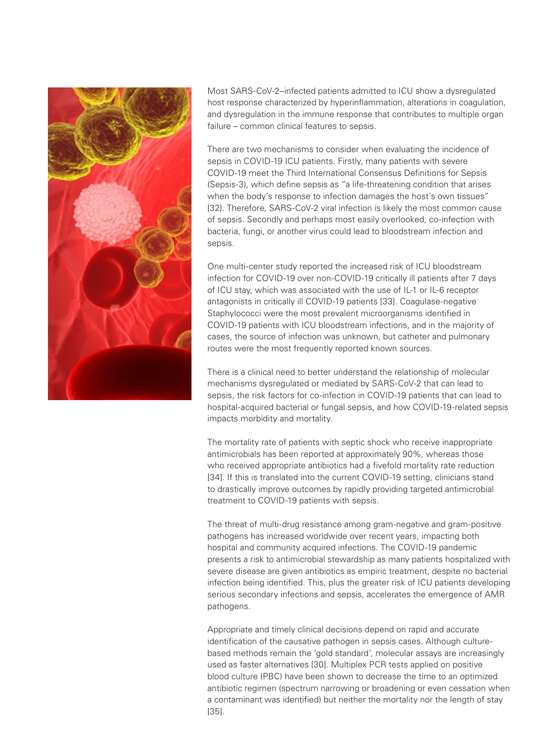

Most SARS-CoV-2–infected patients admitted to ICU show a dysregulated host response characterized by hyperinflammation, alterations in coagulation, and dysregulation in the immune response that contributes to multiple organ failure – common clinical features to sepsis.

There are two mechanisms to consider when evaluating the incidence of sepsis in COVID-19 ICU patients. Firstly, many patients with severe COVID-19 meet the Third International Consensus Definitions for Sepsis (Sepsis-3), which define sepsis as "a life-threatening condition that arises when the body's response to infection damages the host's own tissues" [32]. Therefore, SARS-CoV-2 viral infection is likely the most common cause of sepsis. Secondly and perhaps most easily overlooked, co-infection with bacteria, fungi, or another virus could lead to bloodstream infection and sepsis.

One multi-center study reported the increased risk of ICU bloodstream infection for COVID-19 over non-COVID-19 critically ill patients after 7 days of ICU stay, which was associated with the use of IL-1 or IL-6 receptor antagonists in critically ill COVID-19 patients [33]. Coagulase-negative Staphylococci were the most prevalent microorganisms identified in COVID-19 patients with ICU bloodstream infections, and in the majority of cases, the source of infection was unknown, but catheter and pulmonary routes were the most frequently reported known sources.

There is a clinical need to better understand the relationship of molecular mechanisms dysregulated or mediated by SARS-CoV-2 that can lead to sepsis, the risk factors for co-infection in COVID-19 patients that can lead to hospital-acquired bacterial or fungal sepsis, and how COVID-19-related sepsis impacts morbidity and mortality.

The mortality rate of patients with septic shock who receive inappropriate antimicrobials has been reported at approximately 90%, whereas those who received appropriate antibiotics had a fivefold mortality rate reduction [34]. If this is translated into the current COVID-19 setting, clinicians stand to drastically improve outcomes by rapidly providing targeted antimicrobial treatment to COVID-19 patients with sepsis.

The threat of multi-drug resistance among gram-negative and gram-positive pathogens has increased worldwide over recent years, impacting both hospital and community acquired infections. The COVID-19 pandemic presents a risk to antimicrobial stewardship as many patients hospitalized with severe disease are given antibiotics as empiric treatment, despite no bacterial infection being identified. This, plus the greater risk of ICU patients developing serious secondary infections and sepsis, accelerates the emergence of AMR pathogens.

Appropriate and timely clinical decisions depend on rapid and accurate identification of the causative pathogen in sepsis cases. Although culturebased methods remain the 'gold standard', molecular assays are increasingly used as faster alternatives [30]. Multiplex PCR tests applied on positive blood culture (PBC) have been shown to decrease the time to an optimized antibiotic regimen (spectrum narrowing or broadening or even cessation when a contaminant was identified) but neither the mortality nor the length of stay [35].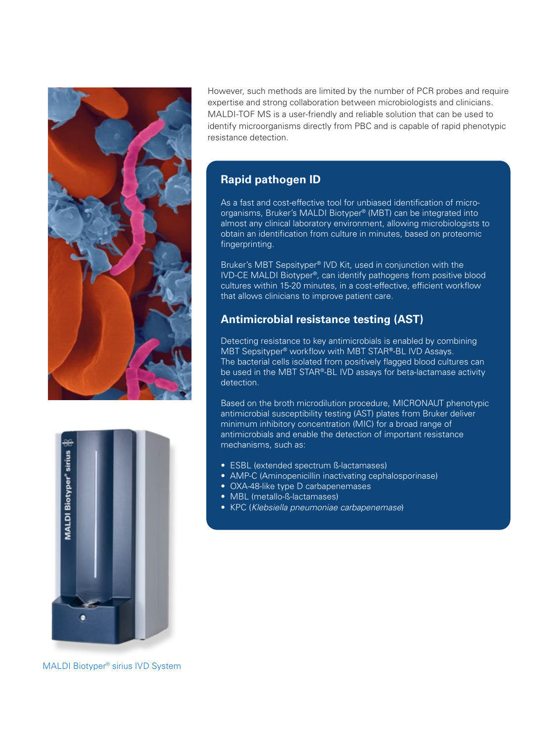



However, such methods are limited by the number of PCR probes and require expertise and strong collaboration between microbiologists and clinicians. MALDI-TOF MS is a user-friendly and reliable solution that can be used to identify microorganisms directly from PBC and is capable of rapid phenotypic resistance detection.

### **Rapid pathogen ID**

As a fast and cost-effective tool for unbiased identification of microorganisms, Bruker's MALDI Biotyper® (MBT) can be integrated into almost any clinical laboratory environment, allowing microbiologists to obtain an identification from culture in minutes, based on proteomic fingerprinting.

Bruker's MBT Sepsityper® IVD Kit, used in conjunction with the IVD-CE MALDI Biotyper®, can identify pathogens from positive blood cultures within 15-20 minutes, in a cost-effective, efficient workflow that allows clinicians to improve patient care.

### **Antimicrobial resistance testing (AST)**

Detecting resistance to key antimicrobials is enabled by combining MBT Sepsityper® workflow with MBT STAR**®**-BL IVD Assays. The bacterial cells isolated from positively flagged blood cultures can be used in the MBT STAR®-BL IVD assays for beta-lactamase activity detection.

Based on the broth microdilution procedure, MICRONAUT phenotypic antimicrobial susceptibility testing (AST) plates from Bruker deliver minimum inhibitory concentration (MIC) for a broad range of antimicrobials and enable the detection of important resistance mechanisms, such as:

- ESBL (extended spectrum ß-lactamases)
- AMP-C (Aminopenicillin inactivating cephalosporinase)
- OXA-48-like type D carbapenemases
- MBL (metallo-ß-lactamases)
- KPC (*Klebsiella pneumoniae carbapenemase*)

MALDI Biotyper® sirius IVD System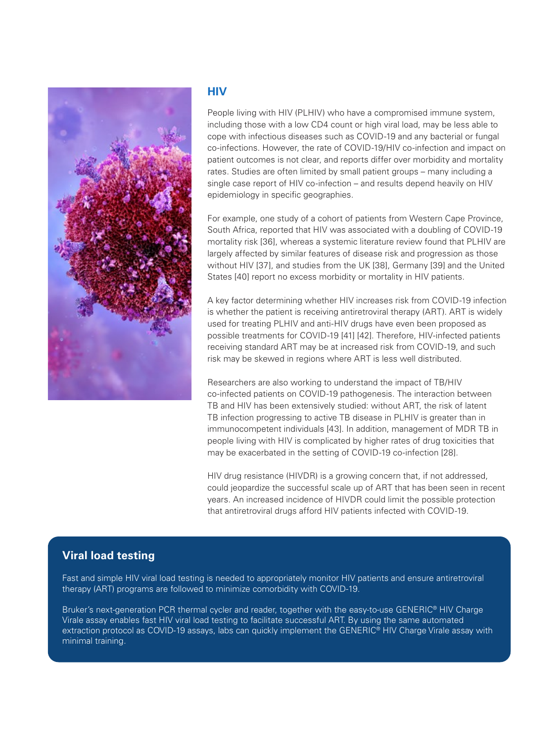

#### **HIV**

People living with HIV (PLHIV) who have a compromised immune system, including those with a low CD4 count or high viral load, may be less able to cope with infectious diseases such as COVID-19 and any bacterial or fungal co-infections. However, the rate of COVID-19/HIV co-infection and impact on patient outcomes is not clear, and reports differ over morbidity and mortality rates. Studies are often limited by small patient groups – many including a single case report of HIV co-infection – and results depend heavily on HIV epidemiology in specific geographies.

For example, one study of a cohort of patients from Western Cape Province, South Africa, reported that HIV was associated with a doubling of COVID-19 mortality risk [36], whereas a systemic literature review found that PLHIV are largely affected by similar features of disease risk and progression as those without HIV [37], and studies from the UK [38], Germany [39] and the United States [40] report no excess morbidity or mortality in HIV patients.

A key factor determining whether HIV increases risk from COVID-19 infection is whether the patient is receiving antiretroviral therapy (ART). ART is widely used for treating PLHIV and anti-HIV drugs have even been proposed as possible treatments for COVID-19 [41] [42]. Therefore, HIV-infected patients receiving standard ART may be at increased risk from COVID-19, and such risk may be skewed in regions where ART is less well distributed.

Researchers are also working to understand the impact of TB/HIV co-infected patients on COVID-19 pathogenesis. The interaction between TB and HIV has been extensively studied: without ART, the risk of latent TB infection progressing to active TB disease in PLHIV is greater than in immunocompetent individuals [43]. In addition, management of MDR TB in people living with HIV is complicated by higher rates of drug toxicities that may be exacerbated in the setting of COVID-19 co-infection [28].

HIV drug resistance (HIVDR) is a growing concern that, if not addressed, could jeopardize the successful scale up of ART that has been seen in recent years. An increased incidence of HIVDR could limit the possible protection that antiretroviral drugs afford HIV patients infected with COVID-19.

### **Viral load testing**

Fast and simple HIV viral load testing is needed to appropriately monitor HIV patients and ensure antiretroviral therapy (ART) programs are followed to minimize comorbidity with COVID-19.

Bruker's next-generation PCR thermal cycler and reader, together with the easy-to-use GENERIC® HIV Charge Virale assay enables fast HIV viral load testing to facilitate successful ART. By using the same automated extraction protocol as COVID-19 assays, labs can quickly implement the GENERIC® HIV Charge Virale assay with minimal training.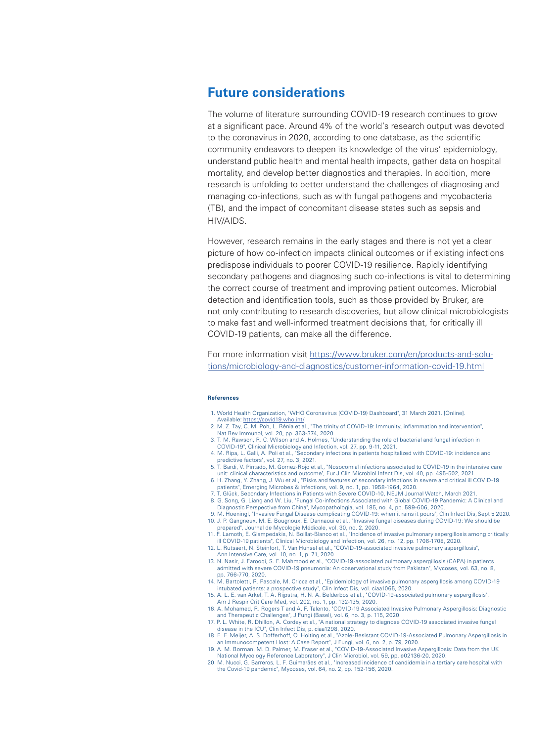### **Future considerations**

The volume of literature surrounding COVID-19 research continues to grow at a significant pace. Around 4% of the world's research output was devoted to the coronavirus in 2020, according to one database, as the scientific community endeavors to deepen its knowledge of the virus' epidemiology, understand public health and mental health impacts, gather data on hospital mortality, and develop better diagnostics and therapies. In addition, more research is unfolding to better understand the challenges of diagnosing and managing co-infections, such as with fungal pathogens and mycobacteria (TB), and the impact of concomitant disease states such as sepsis and HIV/AIDS.

However, research remains in the early stages and there is not yet a clear picture of how co-infection impacts clinical outcomes or if existing infections predispose individuals to poorer COVID-19 resilience. Rapidly identifying secondary pathogens and diagnosing such co-infections is vital to determining the correct course of treatment and improving patient outcomes. Microbial detection and identification tools, such as those provided by Bruker, are not only contributing to research discoveries, but allow clinical microbiologists to make fast and well-informed treatment decisions that, for critically ill COVID-19 patients, can make all the difference.

For more information visit [https://www.bruker.com/en/products-and-solu](https://www.bruker.com/en/products-and-solutions/microbiology-and-diagnostics/customer-information-covid-19.html)[tions/microbiology-and-diagnostics/customer-information-covid-19.html](https://www.bruker.com/en/products-and-solutions/microbiology-and-diagnostics/customer-information-covid-19.html)

#### **References**

- 1. World Health Organization, "WHO Coronavirus (COVID-19) Dashboard", 31 March 2021. [Online]. Available:<https://covid19.who.int/>.
- 2. M. Z. Tay, C. M. Poh, L. Rénia et al., "The trinity of COVID-19: Immunity, inflammation and intervention", Nat Rev Immunol, vol. 20, pp. 363-374, 2020.
- 3. T. M. Rawson, R. C. Wilson and A. Holmes, "Understanding the role of bacterial and fungal infection in
- COVID-19", Clinical Microbiology and Infection, vol. 27, pp. 9-11, 2021. 4. M. Ripa, L. Galli, A. Poli et al., "Secondary infections in patients hospitalized with COVID-19: incidence and predictive factors", vol. 27, no. 3, 2021.
- 5. T. Bardi, V. Pintado, M. Gomez-Rojo et al., "Nosocomial infections associated to COVID-19 in the intensive care unit: clinical characteristics and outcome", Eur J Clin Microbiol Infect Dis, vol. 40, pp. 495-502, 2021.
- 6. H. Zhang, Y. Zhang, J. Wu et al., "Risks and features of secondary infections in severe and critical ill COVID-19 patients", Emerging Microbes & Infections, vol. 9, no. 1, pp. 1958-1964, 2020.
- 7. T. Glück, Secondary Infections in Patients with Severe COVID-10, NEJM Journal Watch, March 2021.
- 8. G. Song, G. Liang and W. Liu, "Fungal Co-infections Associated with Global COVID-19 Pandemic: A Clinical and Diagnostic Perspective from China", Mycopathologia, vol. 185, no. 4, pp. 599-606, 2020.
- 9. M. Hoeningl, "Invasive Fungal Disease complicating COVID-19: when it rains it pours", Clin Infect Dis, Sept 5 2020. 10. J. P. Gangneux, M. E. Bougnoux, E. Dannaoui et al., "Invasive fungal diseases during COVID-19: We should be prepared", Journal de Mycologie Médicale, vol. 30, no. 2, 2020.
- 11. F. Lamoth, E. Glampedakis, N. Boillat-Blanco et al., "Incidence of invasive pulmonary aspergillosis among critically ill COVID-19 patients", Clinical Microbiology and Infection, vol. 26, no. 12, pp. 1706-1708, 2020.
- 12. L. Rutsaert, N. Steinfort, T. Van Hunsel et al., "COVID-19-associated invasive pulmonary aspergillosis'
- Ann Intensive Care, vol. 10, no. 1, p. 71, 2020. 13. N. Nasir, J. Farooqi, S. F. Mahmood et al., "COVID-19-associated pulmonary aspergillosis (CAPA) in patients admitted with severe COVID-19 pneumonia: An observational study from Pakistan", Mycoses, vol. 63, no. 8, pp. 766-770, 2020.
- 14. M. Bartoletti, R. Pascale, M. Cricca et al., "Epidemiology of invasive pulmonary aspergillosis among COVID-19<br>intubated patients: a prospective study", Clin Infect Dis, vol. ciaa1065, 2020.<br>15. A. L. E. van Arkel, T. A
- 
- Am J Respir Crit Care Med, vol. 202, no. 1, pp. 132-135, 2020. 16. A. Mohamed, R. Rogers T and A. F. Talento, "COVID-19 Associated Invasive Pulmonary Aspergillosis: Diagnostic and Therapeutic Challenges", J Fungi (Basel), vol. 6, no. 3, p. 115, 2020.
- 17. P. L. White, R. Dhillon, A. Cordey et al., "A national strategy to diagnose COVID-19 associated invasive fungal disease in the ICU", Clin Infect Dis, p. ciaa1298, 2020.
- 18. E. F. Meijer, A. S. Dofferhoff, O. Hoiting et al., "Azole-Resistant COVID-19-Associated Pulmonary Aspergillosis in an Immunocompetent Host: A Case Report", J Fungi, vol. 6, no. 2, p. 79, 2020.
- 19. A. M. Borman, M. D. Palmer, M. Fraser et al., "COVID-19-Associated Invasive Aspergillosis: Data from the UK National Mycology Reference Laboratory", J Clin Microbiol, vol. 59, pp. e02136-20, 2020.
- 20. M. Nucci, G. Barreros, L. F. Guimarães et al., "Increased incidence of candidemia in a tertiary care hospital with the Covid-19 pandemic", Mycoses, vol. 64, no. 2, pp. 152-156, 2020.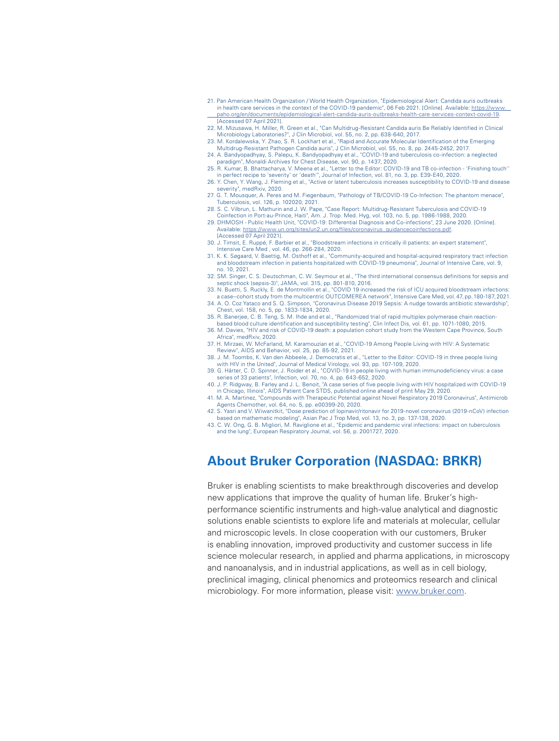- 21. Pan American Health Organization / World Health Organization, "Epidemiological Alert: Candida auris outbreaks in health care services in the context of the COVID-19 pandemic", 06 Feb 2021. [Online]. Available: [https://www.](https://www.paho.org/en/documents/epidemiological-alert-candida-auris-outbreaks-health-care-services-context-covid-19)  [paho.org/en/documents/epidemiological-alert-candida-auris-outbreaks-health-care-services-context-covid-19.](https://www.paho.org/en/documents/epidemiological-alert-candida-auris-outbreaks-health-care-services-context-covid-19) [Accessed 07 April 2021].
- 22. M. Mizusawa, H. Miller, R. Green et al., "Can Multidrug-Resistant Candida auris Be Reliably Identified in Clinical
- Microbiology Laboratories?", J Clin Microbiol, vol. 55, no. 2, pp. 638-640, 2017. 23. M. Kordalewska, Y. Zhao, S. R. Lockhart et al., "Rapid and Accurate Molecular Identification of the Emerging Multidrug-Resistant Pathogen Candida auris", J Clin Microbiol, vol. 55, no. 8, pp. 2445-2452, 2017.
- 24. A. Bandyopadhyay, S. Palepu, K. Bandyopadhyay et al., "COVID-19 and tuberculosis co-infection: a neglected paradigm", Monaldi Archives for Chest Disease, vol. 90, p. 1437, 2020.
- 25. R. Kumar, B. Bhattacharya, V. Meena et al., "Letter to the Editor: COVID-19 and TB co-infection 'Finishing touch'' in perfect recipe to 'severity' or 'death'", Journal of Infection, vol. 81, no. 3, pp. E39-E40, 2020.
- 26. Y. Chen, Y. Wang, J. Fleming et al., "Active or latent tuberculosis increases susceptibility to COVID-19 and disease severity", medRxiv, 2020. 27. G. T. Mousquer, A. Peres and M. Fiegenbaum, "Pathology of TB/COVID-19 Co-Infection: The phantom menace",
- Tuberculosis, vol. 126, p. 102020, 2021.
- 28. S. C. Vilbrun, L. Mathurin and J. W. Pape, "Case Report: Multidrug-Resistant Tuberculosis and COVID-19 Coinfection in Port-au-Prince, Haiti", Am. J. Trop. Med. Hyg, vol. 103, no. 5, pp. 1986-1988, 2020.
- 29. DHMOSH Public Health Unit, "COVID-19: Differential Diagnosis and Co-infections", 23 June 2020. [Online]. Available: [https://www.un.org/sites/un2.un.org/files/coronavirus\\_guidancecoinfections.pdf.](https://www.un.org/sites/un2.un.org/files/coronavirus_guidancecoinfections.pdf) [Accessed 07 April 2021].
- 30. J. Timsit, E. Ruppé, F. Barbier et al., "Bloodstream infections in critically ill patients: an expert statement", Intensive Care Med , vol. 46, pp. 266-284, 2020.
- 31. K. K. Søgaard, V. Baettig, M. Osthoff et al., "Community-acquired and hospital-acquired respiratory tract infection and bloodstream infection in patients hospitalized with COVID-19 pneumonia", Journal of Intensive Care, vol. 9, no. 10, 2021.
- 32. SM. Singer, C. S. Deutschman, C. W. Seymour et al., "The third international consensus definitions for sepsis and
- septic shock (sepsis-3)", JAMA, vol. 315, pp. 801-810, 2016. 33. N. Buetti, S. Ruckly, E. de Montmollin et al., "COVID 19 increased the risk of ICU acquired bloodstream infections: a case–cohort study from the multicentric OUTCOMEREA network", Intensive Care Med, vol. 47, pp. 180-187,2021.
- 34. A. O. Coz Yataco and S. Q. Simpson, "Coronavirus Disease 2019 Sepsis: A nudge towards antibiotic stewardship", Chest, vol. 158, no. 5, pp. 1833-1834, 2020.
- 35. R. Banerjee, C. B. Teng, S. M. Ihde and et al., "Randomized trial of rapid multiplex polymerase chain reaction based blood culture identification and susceptibility testing", Clin Infect Dis, vol. 61, pp. 1071-1080, 2015.
- 36. M. Davies, "HIV and risk of COVID-19 death: a population cohort study from the Western Cape Province, South Africa", medRxiv, 2020.
- 37. H. Mirzaei, W. McFarland, M. Karamouzian et al., "COVID-19 Among People Living with HIV: A Systematic Review", AIDS and Behavior, vol. 25, pp. 85-92, 2021.
- 38. J. M. Toombs, K. Van den Abbeele, J. Democratis et al., "Letter to the Editor: COVID-19 in three people living with HIV in the United", Journal of Medical Virology, vol. 93, pp. 107-109, 2020.
- 39. G. Härter, C. D. Spinner, J. Roider et al., "COVID-19 in people living with human immunodeficiency virus: a case series of 33 patients", Infection, vol. 70, no. 4, pp. 643-652, 2020.
- 40. J. P. Ridgway, B. Farley and J. L. Benoit, "A case series of five people living with HIV hospitalized with COVID-19 in Chicago, Illinois", AIDS Patient Care STDS, published online ahead of print May 29, 2020. 41. M. A. Martinez, "Compounds with Therapeutic Potential against Novel Respiratory 2019 Coronavirus", Antimicrob
- Agents Chemother, vol. 64, no. 5, pp. e00399-20, 2020.
- 42. S. Yasri and V. Wiwanitkit, "Dose prediction of lopinavir/ritonavir for 2019-novel coronavirus (2019-nCoV) infection based on mathematic modeling", Asian Pac J Trop Med, vol. 13, no. 3, pp. 137-138, 2020. 43. C. W. Ong, G. B. Migliori, M. Raviglione et al., "Epidemic and pandemic viral infections: impact on tuberculosis
- and the lung", European Respiratory Journal, vol. 56, p. 2001727, 2020.

# **About Bruker Corporation (NASDAQ: BRKR)**

Bruker is enabling scientists to make breakthrough discoveries and develop new applications that improve the quality of human life. Bruker's highperformance scientific instruments and high-value analytical and diagnostic solutions enable scientists to explore life and materials at molecular, cellular and microscopic levels. In close cooperation with our customers, Bruker is enabling innovation, improved productivity and customer success in life science molecular research, in applied and pharma applications, in microscopy and nanoanalysis, and in industrial applications, as well as in cell biology, preclinical imaging, clinical phenomics and proteomics research and clinical microbiology. For more information, please visit: [www.bruker.com.](http://www.bruker.com)